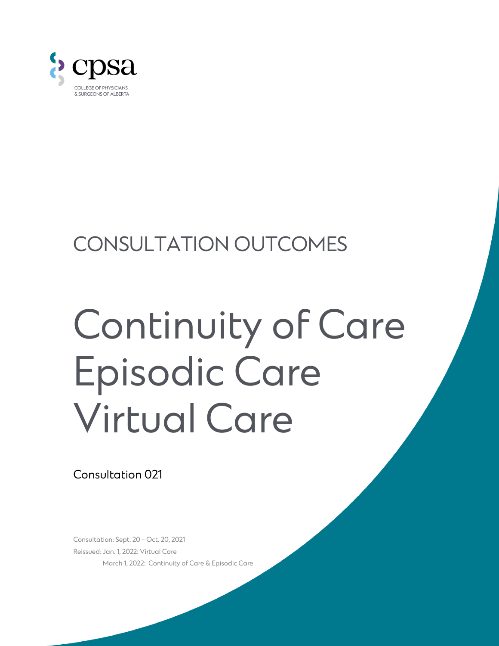

# CONSULTATION OUTCOMES

# Continuity of Care Episodic Care Virtual Care

Consultation 021

Consultation: Sept. 20 – Oct. 20, 2021 Reissued: Jan. 1, 2022: Virtual Care March 1, 2022: Continuity of Care & Episodic Care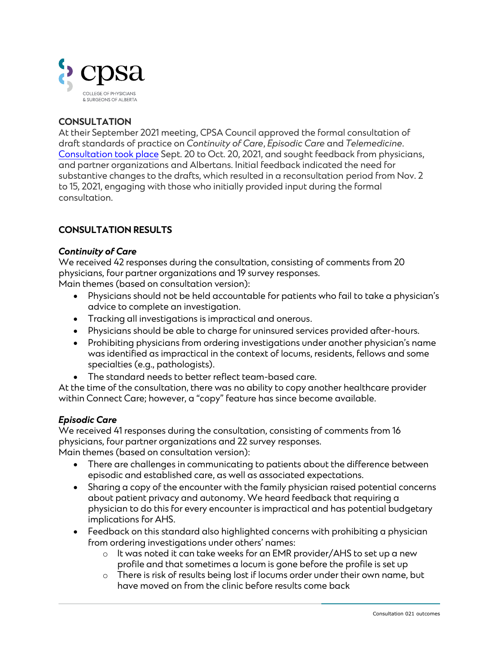

# **CONSULTATION**

At their September 2021 meeting, CPSA Council approved the formal consultation of draft standards of practice on *Continuity of Care*, *Episodic Care* and *Telemedicine*. [Consultation took place](https://cpsa.ca/physicians/standards-of-practice/consultation/consultation-021/) Sept. 20 to Oct. 20, 2021, and sought feedback from physicians, and partner organizations and Albertans. Initial feedback indicated the need for substantive changes to the drafts, which resulted in a reconsultation period from Nov. 2 to 15, 2021, engaging with those who initially provided input during the formal consultation.

# **CONSULTATION RESULTS**

#### *Continuity of Care*

We received 42 responses during the consultation, consisting of comments from 20 physicians, four partner organizations and 19 survey responses. Main themes (based on consultation version):

- Physicians should not be held accountable for patients who fail to take a physician's advice to complete an investigation.
- Tracking all investigations is impractical and onerous.
- Physicians should be able to charge for uninsured services provided after-hours.
- Prohibiting physicians from ordering investigations under another physician's name was identified as impractical in the context of locums, residents, fellows and some specialties (e.g., pathologists).
- The standard needs to better reflect team-based care.

At the time of the consultation, there was no ability to copy another healthcare provider within Connect Care; however, a "copy" feature has since become available.

#### *Episodic Care*

We received 41 responses during the consultation, consisting of comments from 16 physicians, four partner organizations and 22 survey responses. Main themes (based on consultation version):

- There are challenges in communicating to patients about the difference between episodic and established care, as well as associated expectations.
- Sharing a copy of the encounter with the family physician raised potential concerns about patient privacy and autonomy. We heard feedback that requiring a physician to do this for every encounter is impractical and has potential budgetary implications for AHS.
- Feedback on this standard also highlighted concerns with prohibiting a physician from ordering investigations under others' names:
	- $\circ$  It was noted it can take weeks for an EMR provider/AHS to set up a new profile and that sometimes a locum is gone before the profile is set up
	- o There is risk of results being lost if locums order under their own name, but have moved on from the clinic before results come back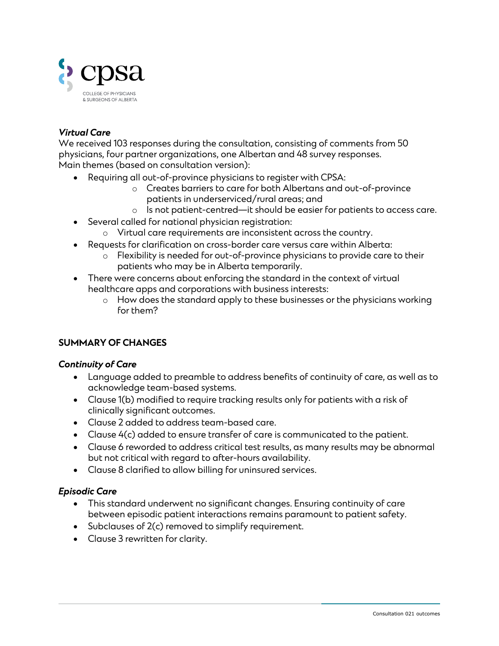

# *Virtual Care*

We received 103 responses during the consultation, consisting of comments from 50 physicians, four partner organizations, one Albertan and 48 survey responses. Main themes (based on consultation version):

- Requiring all out-of-province physicians to register with CPSA:
	- o Creates barriers to care for both Albertans and out-of-province patients in underserviced/rural areas; and
	- o Is not patient-centred—it should be easier for patients to access care.
- Several called for national physician registration:
	- o Virtual care requirements are inconsistent across the country.
- Requests for clarification on cross-border care versus care within Alberta:
	- o Flexibility is needed for out-of-province physicians to provide care to their patients who may be in Alberta temporarily.
- There were concerns about enforcing the standard in the context of virtual healthcare apps and corporations with business interests:
	- o How does the standard apply to these businesses or the physicians working for them?

# **SUMMARY OF CHANGES**

#### *Continuity of Care*

- Language added to preamble to address benefits of continuity of care, as well as to acknowledge team-based systems.
- Clause 1(b) modified to require tracking results only for patients with a risk of clinically significant outcomes.
- Clause 2 added to address team-based care.
- Clause 4(c) added to ensure transfer of care is communicated to the patient.
- Clause 6 reworded to address critical test results, as many results may be abnormal but not critical with regard to after-hours availability.
- Clause 8 clarified to allow billing for uninsured services.

# *Episodic Care*

- This standard underwent no significant changes. Ensuring continuity of care between episodic patient interactions remains paramount to patient safety.
- Subclauses of 2(c) removed to simplify requirement.
- Clause 3 rewritten for clarity.